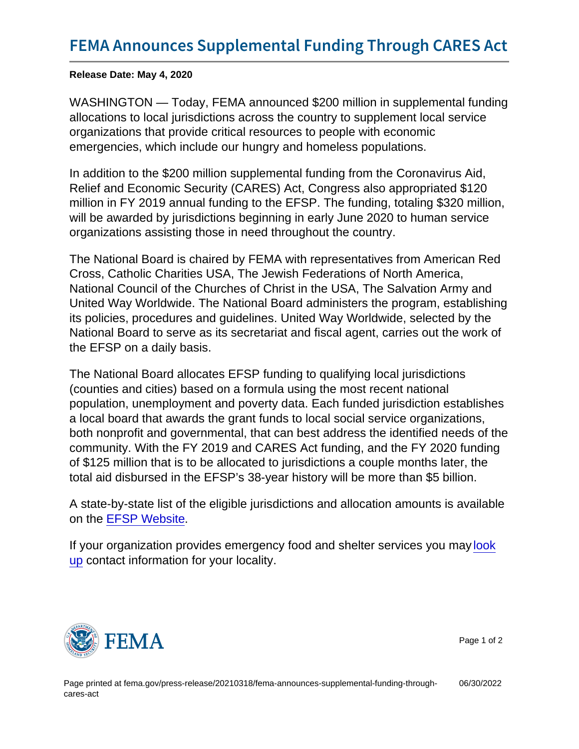Release Date: May 4, 2020

WASHINGTON — Today, FEMA announced \$200 million in supplemental funding allocations to local jurisdictions across the country to supplement local service organizations that provide critical resources to people with economic emergencies, which include our hungry and homeless populations.

In addition to the \$200 million supplemental funding from the Coronavirus Aid, Relief and Economic Security (CARES) Act, Congress also appropriated \$120 million in FY 2019 annual funding to the EFSP. The funding, totaling \$320 million, will be awarded by jurisdictions beginning in early June 2020 to human service organizations assisting those in need throughout the country.

The National Board is chaired by FEMA with representatives from American Red Cross, Catholic Charities USA, The Jewish Federations of North America, National Council of the Churches of Christ in the USA, The Salvation Army and United Way Worldwide. The National Board administers the program, establishing its policies, procedures and guidelines. United Way Worldwide, selected by the National Board to serve as its secretariat and fiscal agent, carries out the work of the EFSP on a daily basis.

The National Board allocates EFSP funding to qualifying local jurisdictions (counties and cities) based on a formula using the most recent national population, unemployment and poverty data. Each funded jurisdiction establishes a local board that awards the grant funds to local social service organizations, both nonprofit and governmental, that can best address the identified needs of the community. With the FY 2019 and CARES Act funding, and the FY 2020 funding of \$125 million that is to be allocated to jurisdictions a couple months later, the total aid disbursed in the EFSP's 38-year history will be more than \$5 billion.

A state-by-state list of the eligible jurisdictions and allocation amounts is available on the [EFSP Website](https://www.efsp.unitedway.org/efsp/website/websiteContents/index.cfm?template=latestNews.cfm?LatestNewsNo=1).

If your organization provides emergency food and shelter services you may [look](https://www.efsp.unitedway.org/efsp/website/websiteContents/index.cfm?template=fundedLROAwardByPhase.cfm) [up](https://www.efsp.unitedway.org/efsp/website/websiteContents/index.cfm?template=fundedLROAwardByPhase.cfm) contact information for your locality.



Page 1 of 2